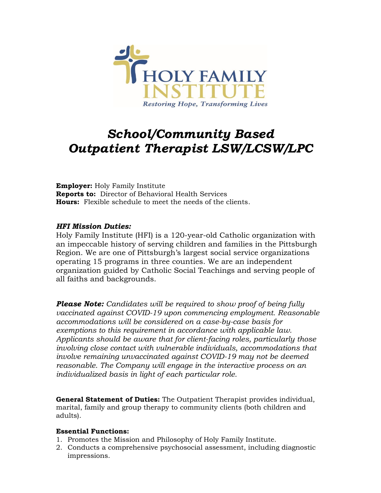

# *School/Community Based Outpatient Therapist LSW/LCSW/LPC*

**Employer:** Holy Family Institute **Reports to:** Director of Behavioral Health Services **Hours:** Flexible schedule to meet the needs of the clients.

## *HFI Mission Duties:*

Holy Family Institute (HFI) is a 120-year-old Catholic organization with an impeccable history of serving children and families in the Pittsburgh Region. We are one of Pittsburgh's largest social service organizations operating 15 programs in three counties. We are an independent organization guided by Catholic Social Teachings and serving people of all faiths and backgrounds.

*Please Note: Candidates will be required to show proof of being fully vaccinated against COVID-19 upon commencing employment. Reasonable accommodations will be considered on a case-by-case basis for exemptions to this requirement in accordance with applicable law. Applicants should be aware that for client-facing roles, particularly those involving close contact with vulnerable individuals, accommodations that involve remaining unvaccinated against COVID-19 may not be deemed reasonable. The Company will engage in the interactive process on an individualized basis in light of each particular role.*

**General Statement of Duties:** The Outpatient Therapist provides individual, marital, family and group therapy to community clients (both children and adults).

## **Essential Functions:**

- 1. Promotes the Mission and Philosophy of Holy Family Institute.
- 2. Conducts a comprehensive psychosocial assessment, including diagnostic impressions.